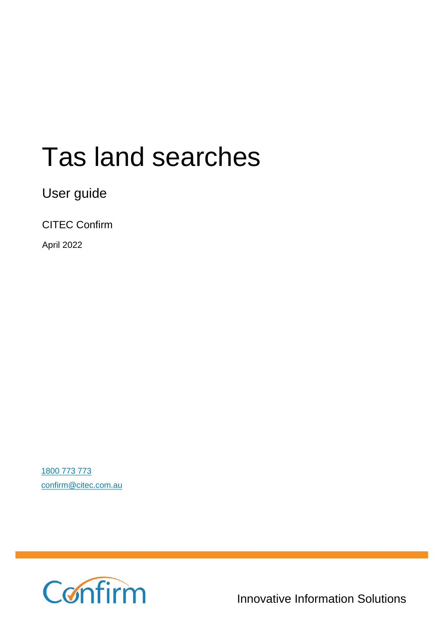# Tas land searches

User guide

CITEC Confirm

April 2022

[1800 773 773](tel:1800773773) [confirm@citec.com.au](mailto:confirm@citec.com.au)



**1800 773 773**

Innovative Information Solutions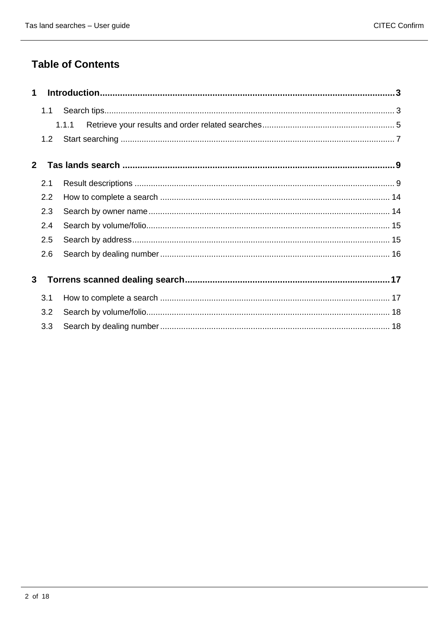### **Table of Contents**

| $\mathbf 1$  |     |       |  |
|--------------|-----|-------|--|
|              | 1.1 | 1.1.1 |  |
| $2^{\circ}$  | 1.2 |       |  |
|              | 2.1 |       |  |
|              | 2.2 |       |  |
|              | 2.3 |       |  |
|              | 2.4 |       |  |
|              | 2.5 |       |  |
|              | 2.6 |       |  |
| $\mathbf{3}$ |     |       |  |
|              | 3.1 |       |  |
|              | 3.2 |       |  |
|              | 3.3 |       |  |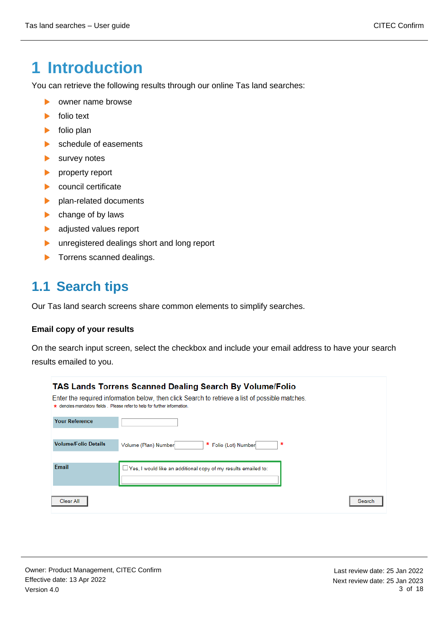# <span id="page-2-0"></span>**1 Introduction**

You can retrieve the following results through our online Tas land searches:

- $\blacktriangleright$ owner name browse
- $\blacktriangleright$ folio text
- folio plan  $\blacktriangleright$
- schedule of easements  $\blacktriangleright$
- $\blacktriangleright$ survey notes
- property report  $\blacktriangleright$
- $\blacktriangleright$ council certificate
- plan-related documents  $\blacktriangleright$
- $\blacktriangleright$ change of by laws
- adjusted values report  $\blacktriangleright$
- $\blacktriangleright$ unregistered dealings short and long report
- <span id="page-2-1"></span> $\blacktriangleright$ Torrens scanned dealings.

### **1.1 Search tips**

Our Tas land search screens share common elements to simplify searches.

#### **Email copy of your results**

On the search input screen, select the checkbox and include your email address to have your search results emailed to you.

|                             | <b>TAS Lands Torrens Scanned Dealing Search By Volume/Folio</b><br>Enter the required information below, then click Search to retrieve a list of possible matches.<br>* denotes mandatory fields. Please refer to help for further information. |
|-----------------------------|-------------------------------------------------------------------------------------------------------------------------------------------------------------------------------------------------------------------------------------------------|
| <b>Your Reference</b>       |                                                                                                                                                                                                                                                 |
| <b>Volume/Folio Details</b> | *<br>* Folio (Lot) Number<br>Volume (Plan) Number                                                                                                                                                                                               |
| Email                       | $\Box$ Yes, I would like an additional copy of my results emailed to:                                                                                                                                                                           |
| Clear All                   | Search                                                                                                                                                                                                                                          |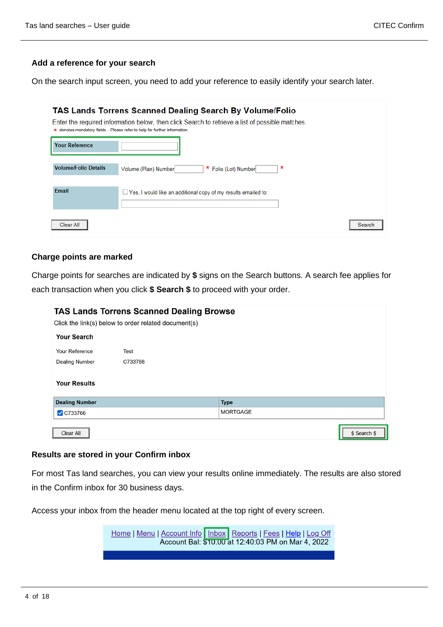#### **Add a reference for your search**

On the search input screen, you need to add your reference to easily identify your search later.

| <b>TAS Lands Torrens Scanned Dealing Search By Volume/Folio</b><br>Enter the required information below, then click Search to retrieve a list of possible matches.<br>* denotes mandatory fields. Please refer to help for further information. |                                                                       |        |  |  |
|-------------------------------------------------------------------------------------------------------------------------------------------------------------------------------------------------------------------------------------------------|-----------------------------------------------------------------------|--------|--|--|
| <b>Your Reference</b>                                                                                                                                                                                                                           |                                                                       |        |  |  |
| <b>Volume/Folio Details</b>                                                                                                                                                                                                                     | ∗<br>* Folio (Lot) Number<br>Volume (Plan) Number                     |        |  |  |
| Email                                                                                                                                                                                                                                           | $\Box$ Yes, I would like an additional copy of my results emailed to: |        |  |  |
| Clear All                                                                                                                                                                                                                                       |                                                                       | Search |  |  |

#### **Charge points are marked**

Charge points for searches are indicated by **\$** signs on the Search buttons. A search fee applies for each transaction when you click **\$ Search \$** to proceed with your order.

| <b>TAS Lands Torrens Scanned Dealing Browse</b> |                                                      |                 |              |  |
|-------------------------------------------------|------------------------------------------------------|-----------------|--------------|--|
|                                                 | Click the link(s) below to order related document(s) |                 |              |  |
| <b>Your Search</b>                              |                                                      |                 |              |  |
| <b>Your Reference</b>                           | <b>Test</b>                                          |                 |              |  |
| <b>Dealing Number</b>                           | C733766                                              |                 |              |  |
| <b>Your Results</b>                             |                                                      |                 |              |  |
| <b>Dealing Number</b>                           |                                                      | <b>Type</b>     |              |  |
| $\sqrt{$ C733766                                |                                                      | <b>MORTGAGE</b> |              |  |
| <b>Clear All</b>                                |                                                      |                 | \$ Search \$ |  |

#### **Results are stored in your Confirm inbox**

For most Tas land searches, you can view your results online immediately. The results are also stored in the Confirm inbox for 30 business days.

Access your inbox from the header menu located at the top right of every screen.

Home | Menu | Account Info | Inbox | Reports | Fees | Help | Log Off Account Bal: \$10.00 at 12:40:03 PM on Mar 4, 2022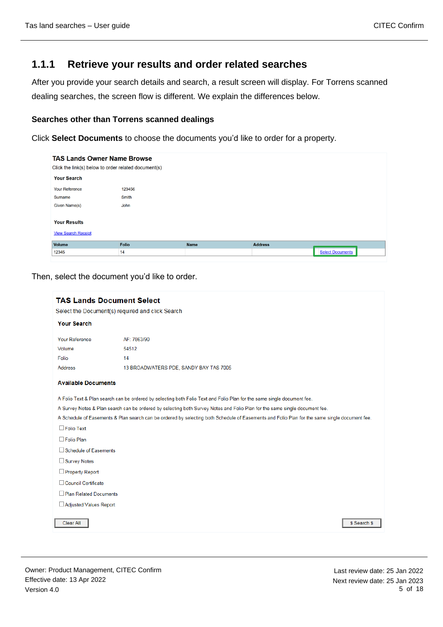#### <span id="page-4-0"></span>**1.1.1 Retrieve your results and order related searches**

After you provide your search details and search, a result screen will display. For Torrens scanned dealing searches, the screen flow is different. We explain the differences below.

#### **Searches other than Torrens scanned dealings**

Click **Select Documents** to choose the documents you'd like to order for a property.

| <b>TAS Lands Owner Name Browse</b><br>Click the link(s) below to order related document(s) |              |             |                |                         |  |  |
|--------------------------------------------------------------------------------------------|--------------|-------------|----------------|-------------------------|--|--|
| <b>Your Search</b>                                                                         |              |             |                |                         |  |  |
| <b>Your Reference</b>                                                                      | 123456       |             |                |                         |  |  |
| Surname                                                                                    | Smith        |             |                |                         |  |  |
| Given Name(s)                                                                              | John         |             |                |                         |  |  |
|                                                                                            |              |             |                |                         |  |  |
| <b>Your Results</b>                                                                        |              |             |                |                         |  |  |
| <b>View Search Receipt</b>                                                                 |              |             |                |                         |  |  |
| Volume                                                                                     | <b>Folio</b> | <b>Name</b> | <b>Address</b> |                         |  |  |
| 12345                                                                                      | 14           |             |                | <b>Select Documents</b> |  |  |

Then, select the document you'd like to order.

| <b>TAS Lands Document Select</b><br>Select the Document(s) required and click Search |                                                                                                                                               |  |  |  |  |
|--------------------------------------------------------------------------------------|-----------------------------------------------------------------------------------------------------------------------------------------------|--|--|--|--|
| <b>Your Search</b>                                                                   |                                                                                                                                               |  |  |  |  |
| Your Reference                                                                       | AF: 7863/90                                                                                                                                   |  |  |  |  |
| Volume                                                                               | 54512                                                                                                                                         |  |  |  |  |
| Folio                                                                                | 14                                                                                                                                            |  |  |  |  |
| <b>Address</b>                                                                       | 13 BROADWATERS PDE, SANDY BAY TAS 7005                                                                                                        |  |  |  |  |
| <b>Available Documents</b>                                                           |                                                                                                                                               |  |  |  |  |
|                                                                                      | A Folio Text & Plan search can be ordered by selecting both Folio Text and Folio Plan for the same single document fee.                       |  |  |  |  |
|                                                                                      | A Survey Notes & Plan search can be ordered by selecting both Survey Notes and Folio Plan for the same single document fee.                   |  |  |  |  |
|                                                                                      | A Schedule of Easements & Plan search can be ordered by selecting both Schedule of Easements and Folio Plan for the same single document fee. |  |  |  |  |
| $\Box$ Folio Text                                                                    |                                                                                                                                               |  |  |  |  |
| $\Box$ Folio Plan                                                                    |                                                                                                                                               |  |  |  |  |
| □ Schedule of Easements                                                              |                                                                                                                                               |  |  |  |  |
| Survey Notes                                                                         |                                                                                                                                               |  |  |  |  |
| Property Report                                                                      |                                                                                                                                               |  |  |  |  |
| □ Council Certificate                                                                |                                                                                                                                               |  |  |  |  |
| Plan Related Documents                                                               |                                                                                                                                               |  |  |  |  |
| □ Adjusted Values Report                                                             |                                                                                                                                               |  |  |  |  |
| <b>Clear All</b>                                                                     | \$ Search \$                                                                                                                                  |  |  |  |  |

Owner: Product Management, CITEC Confirm Effective date: 13 Apr 2022 Version 4.0

Last review date: 25 Jan 2022 Next review date: 25 Jan 2023 5 of 18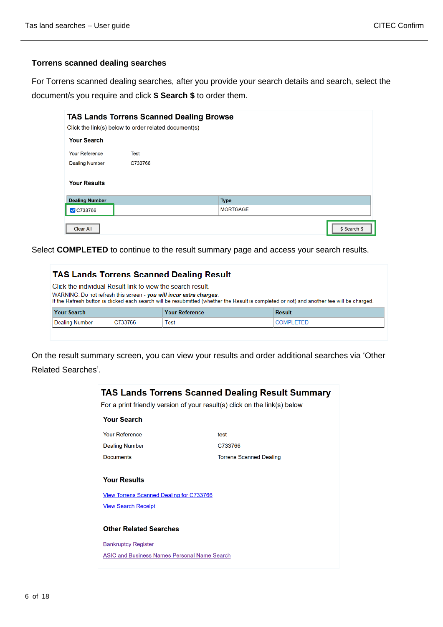#### **Torrens scanned dealing searches**

For Torrens scanned dealing searches, after you provide your search details and search, select the document/s you require and click **\$ Search \$** to order them.

| <b>TAS Lands Torrens Scanned Dealing Browse</b><br>Click the link(s) below to order related document(s) |         |  |                 |  |              |
|---------------------------------------------------------------------------------------------------------|---------|--|-----------------|--|--------------|
| <b>Your Search</b>                                                                                      |         |  |                 |  |              |
| <b>Your Reference</b>                                                                                   | Test    |  |                 |  |              |
| <b>Dealing Number</b>                                                                                   | C733766 |  |                 |  |              |
| <b>Your Results</b>                                                                                     |         |  |                 |  |              |
| <b>Dealing Number</b>                                                                                   |         |  | <b>Type</b>     |  |              |
| C733766                                                                                                 |         |  | <b>MORTGAGE</b> |  |              |
| <b>Clear All</b>                                                                                        |         |  |                 |  | \$ Search \$ |

Select **COMPLETED** to continue to the result summary page and access your search results.

|                                                                                                                                                                                                                                                                                  | <b>TAS Lands Torrens Scanned Dealing Result</b> |  |  |  |  |
|----------------------------------------------------------------------------------------------------------------------------------------------------------------------------------------------------------------------------------------------------------------------------------|-------------------------------------------------|--|--|--|--|
| Click the individual Result link to view the search result.<br>WARNING: Do not refresh this screen - you will incur extra charges.<br>If the Refresh button is clicked each search will be resubmitted (whether the Result is completed or not) and another fee will be charged. |                                                 |  |  |  |  |
| <b>Your Reference</b>                                                                                                                                                                                                                                                            | <b>Result</b>                                   |  |  |  |  |
| Test                                                                                                                                                                                                                                                                             | <b>COMPLETED</b>                                |  |  |  |  |
|                                                                                                                                                                                                                                                                                  |                                                 |  |  |  |  |

On the result summary screen, you can view your results and order additional searches via 'Other Related Searches'.

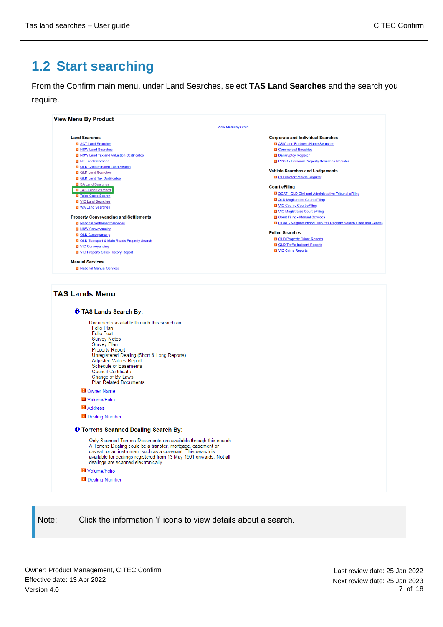# <span id="page-6-0"></span>**1.2 Start searching**

From the Confirm main menu, under Land Searches, select **TAS Land Searches** and the search you require.

| <b>Land Searches</b>                                                                                                                                                                                                                                                    | <b>Corporate and Individual Searches</b>                           |
|-------------------------------------------------------------------------------------------------------------------------------------------------------------------------------------------------------------------------------------------------------------------------|--------------------------------------------------------------------|
| <b>D ACT</b> Land Searches<br><b>D</b> NSW Land Searches                                                                                                                                                                                                                | 2 ASIC and Business Name Searches<br><b>D</b> Commercial Enquiries |
| <b>El NSW Land Tax and Valuation Certificates</b>                                                                                                                                                                                                                       | <b>D</b> Bankruptcy Register                                       |
| <b>El NT Land Searches</b>                                                                                                                                                                                                                                              | <b>D</b> PPSR - Personal Property Securities Register              |
| <b>D</b> QLD Contaminated Land Search                                                                                                                                                                                                                                   |                                                                    |
| <b>D</b> QLD Land Searches                                                                                                                                                                                                                                              | <b>Vehicle Searches and Lodgements</b>                             |
| <b>D</b> QLD Land Tax Certificates                                                                                                                                                                                                                                      | <b>D</b> QLD Motor Vehicle Register                                |
| <b>D</b> SA Land Searches                                                                                                                                                                                                                                               | <b>Court eFiling</b>                                               |
| <b>El</b> TAS Land Searches                                                                                                                                                                                                                                             | 2 QCAT - QLD Civil and Administrative Tribunal eFiling             |
| <b>El</b> Telco Cable Search<br><b>D</b> VIC Land Searches                                                                                                                                                                                                              | <b>D</b> QLD Magistrates Court eFiling                             |
| <b>D</b> WA Land Searches                                                                                                                                                                                                                                               | <b>D</b> VIC County Court eFiling                                  |
|                                                                                                                                                                                                                                                                         | <b>D</b> VIC Magistrates Court eFiling                             |
| <b>Property Conveyancing and Settlements</b>                                                                                                                                                                                                                            | <b>D</b> Court Filing - Manual Services                            |
| <b>El National Settlement Services</b>                                                                                                                                                                                                                                  | 2 QCAT - Neighbourhood Disputes Registry Search (Tree and Fence)   |
| <b>El NSW Conveyancing</b>                                                                                                                                                                                                                                              | <b>Police Searches</b>                                             |
| <b>D</b> QLD Conveyancing                                                                                                                                                                                                                                               | <b>D QLD Property Crime Reports</b>                                |
| <b>D</b> QLD Transport & Main Roads Property Search<br><b>N</b> VIC Conveyancing                                                                                                                                                                                        | <b>D QLD</b> Traffic Incident Reports                              |
| <b>El VIC Property Sales History Report</b>                                                                                                                                                                                                                             | <b>D</b> VIC Crime Reports                                         |
|                                                                                                                                                                                                                                                                         |                                                                    |
| <b>Manual Services</b>                                                                                                                                                                                                                                                  |                                                                    |
| <b>El National Manual Services</b>                                                                                                                                                                                                                                      |                                                                    |
| <b>O</b> TAS Lands Search By:<br>Documents available through this search are:<br><b>Folio Plan</b><br><b>Folio Text</b>                                                                                                                                                 |                                                                    |
| <b>Survey Notes</b><br>Survey Plan<br><b>Property Report</b><br>Unregistered Dealing (Short & Long Reports)<br><b>Adjusted Values Report</b><br><b>Schedule of Easements</b>                                                                                            |                                                                    |
| Council Certificate<br>Change of By-Laws<br><b>Plan Related Documents</b>                                                                                                                                                                                               |                                                                    |
| <b>D</b> Owner Name                                                                                                                                                                                                                                                     |                                                                    |
| Volume/Folio                                                                                                                                                                                                                                                            |                                                                    |
|                                                                                                                                                                                                                                                                         |                                                                    |
| <b>D</b> Address                                                                                                                                                                                                                                                        |                                                                    |
| Dealing Number                                                                                                                                                                                                                                                          |                                                                    |
| <b>O</b> Torrens Scanned Dealing Search By:                                                                                                                                                                                                                             |                                                                    |
| Only Scanned Torrens Documents are available through this search.<br>A Torrens Dealing could be a transfer, mortgage, easement or<br>caveat, or an instrument such as a covenant. This search is<br>available for dealings registered from 13 May 1991 onwards. Not all |                                                                    |
| dealings are scanned electronically.                                                                                                                                                                                                                                    |                                                                    |
| Volume/Folio                                                                                                                                                                                                                                                            |                                                                    |
| Dealing Number                                                                                                                                                                                                                                                          |                                                                    |
|                                                                                                                                                                                                                                                                         |                                                                    |
|                                                                                                                                                                                                                                                                         |                                                                    |

Owner: Product Management, CITEC Confirm Effective date: 13 Apr 2022 Version 4.0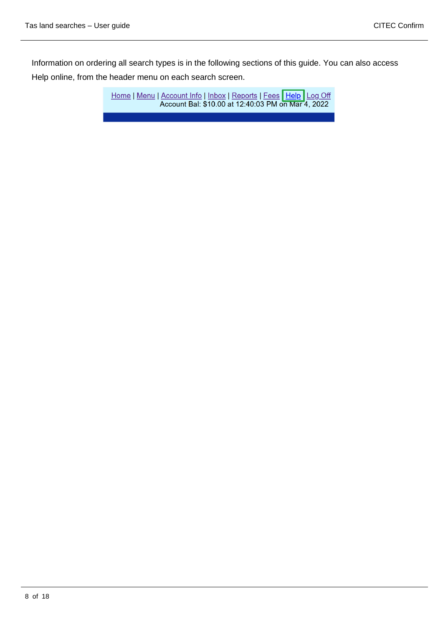Information on ordering all search types is in the following sections of this guide. You can also access Help online, from the header menu on each search screen.

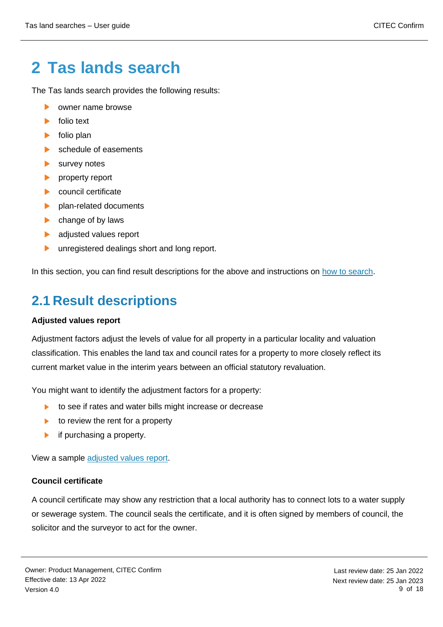# <span id="page-8-0"></span>**2 Tas lands search**

The Tas lands search provides the following results:

- owner name browse ь
- folio text **No.**
- folio plan  $\blacktriangleright$
- $\mathbf{L}$ schedule of easements
- $\blacktriangleright$ survey notes
- $\mathbf{L}$ property report
- $\mathbf{L}$ council certificate
- plan-related documents  $\blacktriangleright$
- $\blacktriangleright$ change of by laws
- adjusted values report  $\mathbf{L}$
- unregistered dealings short and long report.  $\blacktriangleright$  .

In this section, you can find result descriptions for the above and instructions on [how to search.](#page-13-0)

# <span id="page-8-1"></span>**2.1 Result descriptions**

#### **Adjusted values report**

Adjustment factors adjust the levels of value for all property in a particular locality and valuation classification. This enables the land tax and council rates for a property to more closely reflect its current market value in the interim years between an official statutory revaluation.

You might want to identify the adjustment factors for a property:

- to see if rates and water bills might increase or decrease  $\blacktriangleright$
- to review the rent for a property  $\blacktriangleright$
- if purchasing a property.  $\blacktriangleright$

View a sample [adjusted values report.](https://www.confirm.com.au/wp-content/uploads/tas_land_adjustedvalues_sample.pdf)

#### **Council certificate**

A council certificate may show any restriction that a local authority has to connect lots to a water supply or sewerage system. The council seals the certificate, and it is often signed by members of council, the solicitor and the surveyor to act for the owner.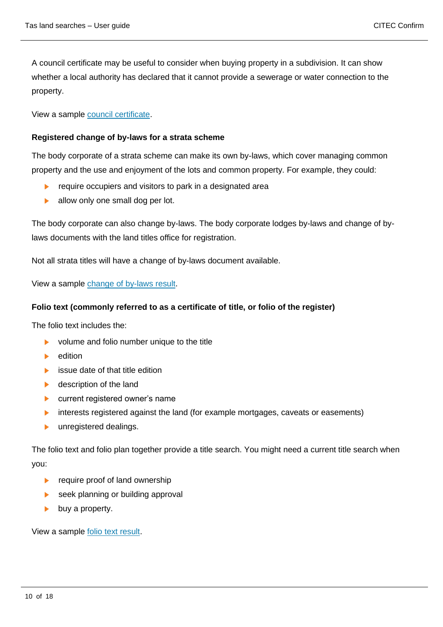A council certificate may be useful to consider when buying property in a subdivision. It can show whether a local authority has declared that it cannot provide a sewerage or water connection to the property.

View a sample [council certificate.](https://www.confirm.com.au/wp-content/uploads/tas_land_councilcertificate_sample.pdf)

#### **Registered change of by-laws for a strata scheme**

The body corporate of a strata scheme can make its own by-laws, which cover managing common property and the use and enjoyment of the lots and common property. For example, they could:

- b. require occupiers and visitors to park in a designated area
- allow only one small dog per lot.  $\blacktriangleright$

The body corporate can also change by-laws. The body corporate lodges by-laws and change of bylaws documents with the land titles office for registration.

Not all strata titles will have a change of by-laws document available.

View a sample [change of by-laws result.](https://www.confirm.com.au/wp-content/uploads/tas_land_changebylaws_sample.pdf)

#### **Folio text (commonly referred to as a certificate of title, or folio of the register)**

The folio text includes the:

- $\blacktriangleright$ volume and folio number unique to the title
- edition K.
- b. issue date of that title edition
- description of the land  $\blacktriangleright$
- current registered owner's name  $\blacktriangleright$
- interests registered against the land (for example mortgages, caveats or easements)  $\blacktriangleright$
- unregistered dealings.  $\mathbf{E}$  .

The folio text and folio plan together provide a title search. You might need a current title search when you:

- $\blacktriangleright$ require proof of land ownership
- seek planning or building approval  $\blacktriangleright$
- buy a property.  $\blacktriangleright$

View a sample [folio text result.](https://www.confirm.com.au/wp-content/uploads/tas_land_foliotext_sample.pdf)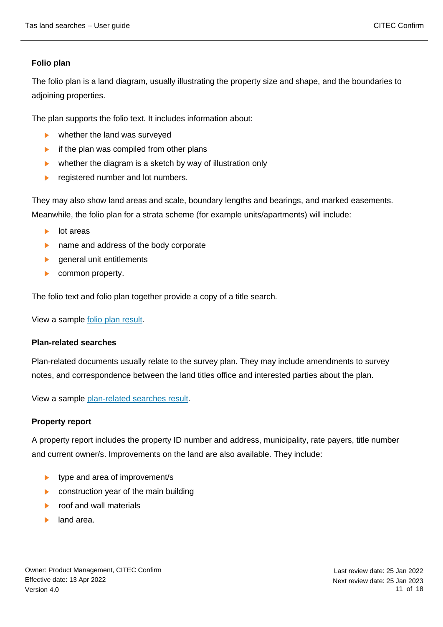#### **Folio plan**

The folio plan is a land diagram, usually illustrating the property size and shape, and the boundaries to adjoining properties.

The plan supports the folio text. It includes information about:

- whether the land was surveyed  $\mathbf{b}$  .
- $\blacktriangleright$ if the plan was compiled from other plans
- whether the diagram is a sketch by way of illustration only  $\blacktriangleright$
- $\blacktriangleright$ registered number and lot numbers.

They may also show land areas and scale, boundary lengths and bearings, and marked easements. Meanwhile, the folio plan for a strata scheme (for example units/apartments) will include:

- $\mathbf{b}$  . lot areas
- name and address of the body corporate  $\mathbf{b}$  .
- general unit entitlements  $\blacktriangleright$
- common property.

The folio text and folio plan together provide a copy of a title search.

View a sample [folio plan result.](https://www.confirm.com.au/wp-content/uploads/tas_land_folioplan_sample.pdf)

#### **Plan-related searches**

Plan-related documents usually relate to the survey plan. They may include amendments to survey notes, and correspondence between the land titles office and interested parties about the plan.

View a sample [plan-related searches result.](https://www.confirm.com.au/wp-content/uploads/tas_land_councildocuments_sample.pdf)

#### **Property report**

A property report includes the property ID number and address, municipality, rate payers, title number and current owner/s. Improvements on the land are also available. They include:

- ▶ type and area of improvement/s
- $\blacktriangleright$ construction year of the main building
- roof and wall materials **No.**
- land area.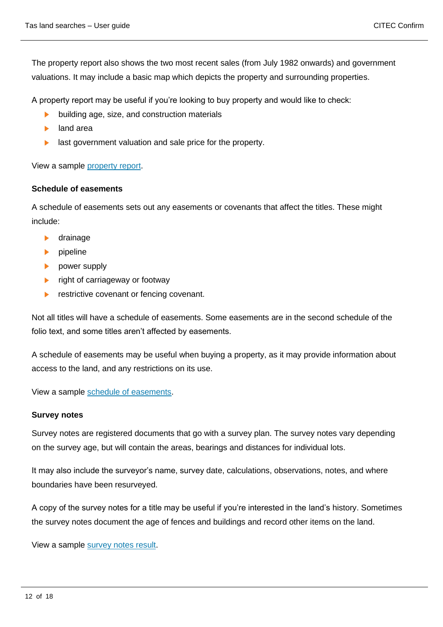The property report also shows the two most recent sales (from July 1982 onwards) and government valuations. It may include a basic map which depicts the property and surrounding properties.

A property report may be useful if you're looking to buy property and would like to check:

- building age, size, and construction materials
- land area  $\mathbf{b}$  .
- last government valuation and sale price for the property.

View a sample [property report.](https://www.confirm.com.au/wp-content/uploads/tas_land_propertyvaluations_sample.pdf)

#### **Schedule of easements**

A schedule of easements sets out any easements or covenants that affect the titles. These might include:

- drainage  $\blacktriangleright$
- $\blacktriangleright$  pipeline
- power supply
- right of carriageway or footway  $\blacktriangleright$
- restrictive covenant or fencing covenant.  $\blacktriangleright$

Not all titles will have a schedule of easements. Some easements are in the second schedule of the folio text, and some titles aren't affected by easements.

A schedule of easements may be useful when buying a property, as it may provide information about access to the land, and any restrictions on its use.

View a sample [schedule of easements.](https://www.confirm.com.au/wp-content/uploads/tas_land_scheduleeasements_sample.pdf)

#### **Survey notes**

Survey notes are registered documents that go with a survey plan. The survey notes vary depending on the survey age, but will contain the areas, bearings and distances for individual lots.

It may also include the surveyor's name, survey date, calculations, observations, notes, and where boundaries have been resurveyed.

A copy of the survey notes for a title may be useful if you're interested in the land's history. Sometimes the survey notes document the age of fences and buildings and record other items on the land.

View a sample [survey notes result.](https://www.confirm.com.au/wp-content/uploads/tas_land_surveynotes_sample.pdf)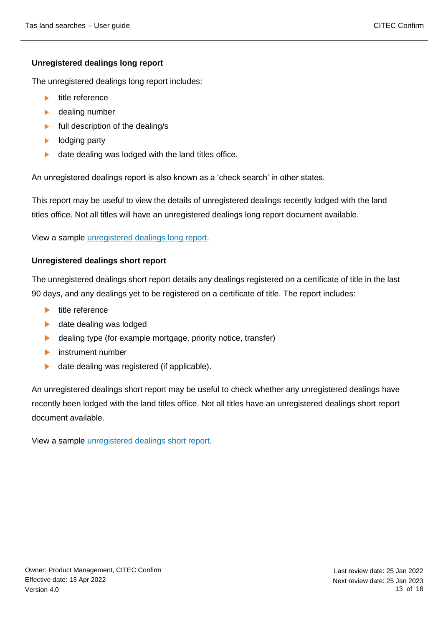#### **Unregistered dealings long report**

The unregistered dealings long report includes:

- title reference
- K. dealing number
- full description of the dealing/s  $\blacktriangleright$
- lodging party  $\blacktriangleright$
- $\blacktriangleright$  . date dealing was lodged with the land titles office.

An unregistered dealings report is also known as a 'check search' in other states.

This report may be useful to view the details of unregistered dealings recently lodged with the land titles office. Not all titles will have an unregistered dealings long report document available.

View a sample [unregistered dealings long report.](https://www.confirm.com.au/wp-content/uploads/tas_land_unregdealingslong_sample.pdf)

#### **Unregistered dealings short report**

The unregistered dealings short report details any dealings registered on a certificate of title in the last 90 days, and any dealings yet to be registered on a certificate of title. The report includes:

- $\blacktriangleright$  title reference
- $\blacktriangleright$ date dealing was lodged
- $\blacktriangleright$ dealing type (for example mortgage, priority notice, transfer)
- **instrument number**
- $\blacktriangleright$ date dealing was registered (if applicable).

An unregistered dealings short report may be useful to check whether any unregistered dealings have recently been lodged with the land titles office. Not all titles have an unregistered dealings short report document available.

View a sample [unregistered dealings short report.](https://www.confirm.com.au/wp-content/uploads/tas_land_unregdealingsshort_sample.pdf)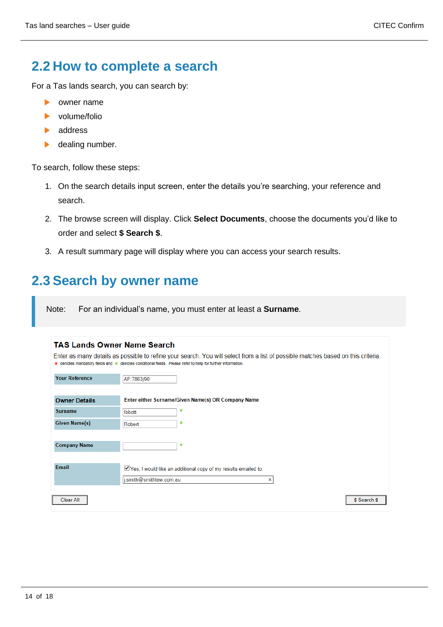\$ Search \$

### <span id="page-13-0"></span>**2.2 How to complete a search**

For a Tas lands search, you can search by:

- owner name ь
- volume/folio ь
- address K.
- $\blacktriangleright$ dealing number.

To search, follow these steps:

- 1. On the search details input screen, enter the details you're searching, your reference and search.
- 2. The browse screen will display. Click **Select Documents**, choose the documents you'd like to order and select **\$ Search \$**.
- 3. A result summary page will display where you can access your search results.

### <span id="page-13-1"></span>**2.3 Search by owner name**

Note: For an individual's name, you must enter at least a **Surname**.

|                       | <b>TAS Lands Owner Name Search</b>                                                                                                                                                                                                            |
|-----------------------|-----------------------------------------------------------------------------------------------------------------------------------------------------------------------------------------------------------------------------------------------|
|                       | Enter as many details as possible to refine your search. You will select from a list of possible matches based on this criteria<br>* denotes mandatory fields and * denotes conditional fields. Please refer to help for further information. |
| <b>Your Reference</b> | AF:7863/90                                                                                                                                                                                                                                    |
| <b>Owner Details</b>  | Enter either Surname/Given Name(s) OR Company Name                                                                                                                                                                                            |
| <b>Surname</b>        | $\ast$<br><b>Ibbott</b>                                                                                                                                                                                                                       |
| <b>Given Name(s)</b>  | *<br>Robert                                                                                                                                                                                                                                   |
| <b>Company Name</b>   | $\ast$                                                                                                                                                                                                                                        |
| Email                 | ■ Yes, I would like an additional copy of my results emailed to:<br>i.smith@smithlaw.com.au<br>×                                                                                                                                              |

Clear All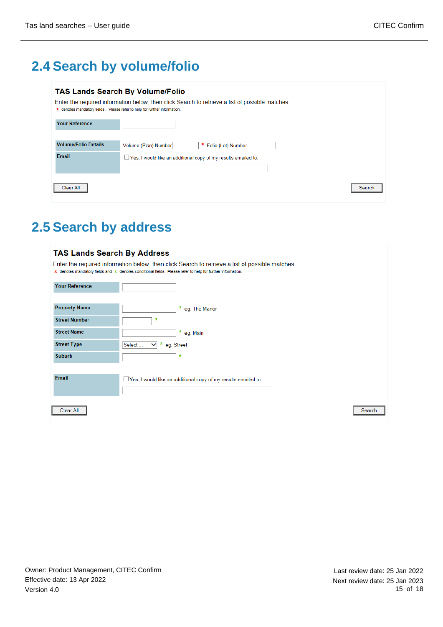# <span id="page-14-0"></span>**2.4 Search by volume/folio**

#### **TAS Lands Search By Volume/Folio**

- Enter the required information below, then click Search to retrieve a list of possible matches.
- \* denotes mandatory fields. Please refer to help for further information.

| <b>Your Reference</b>       |                                                                  |
|-----------------------------|------------------------------------------------------------------|
| <b>Volume/Folio Details</b> | * Folio (Lot) Number<br>Volume (Plan) Number                     |
| Email                       | □ Yes, I would like an additional copy of my results emailed to: |
| Clear All                   | Search                                                           |

# <span id="page-14-1"></span>**2.5 Search by address**

| <b>TAS Lands Search By Address</b>                                                                                                                                                                            |                                                                       |  |  |  |  |
|---------------------------------------------------------------------------------------------------------------------------------------------------------------------------------------------------------------|-----------------------------------------------------------------------|--|--|--|--|
| Enter the required information below, then click Search to retrieve a list of possible matches.<br>* denotes mandatory fields and * denotes conditional fields. Please refer to help for further information. |                                                                       |  |  |  |  |
| <b>Your Reference</b>                                                                                                                                                                                         |                                                                       |  |  |  |  |
| <b>Property Name</b>                                                                                                                                                                                          | * eg. The Manor                                                       |  |  |  |  |
| <b>Street Number</b>                                                                                                                                                                                          | $\ast$                                                                |  |  |  |  |
| <b>Street Name</b>                                                                                                                                                                                            | * eg. Main                                                            |  |  |  |  |
| <b>Street Type</b>                                                                                                                                                                                            | *<br>Select<br>eg. Street<br>$\checkmark$                             |  |  |  |  |
| <b>Suburb</b>                                                                                                                                                                                                 | $\ast$                                                                |  |  |  |  |
|                                                                                                                                                                                                               |                                                                       |  |  |  |  |
| Email                                                                                                                                                                                                         | $\Box$ Yes, I would like an additional copy of my results emailed to: |  |  |  |  |
|                                                                                                                                                                                                               |                                                                       |  |  |  |  |
| Clear All                                                                                                                                                                                                     | Search                                                                |  |  |  |  |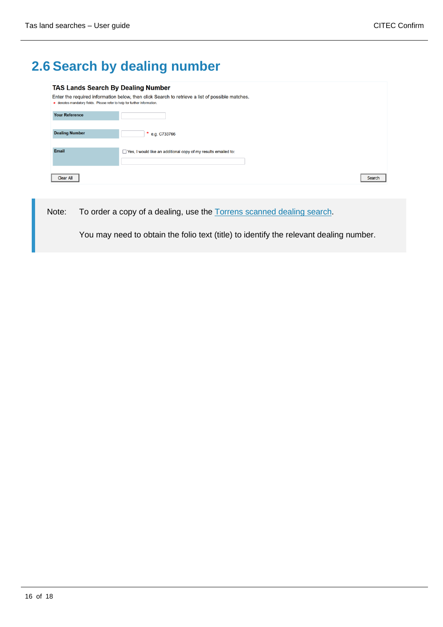# <span id="page-15-0"></span>**2.6 Search by dealing number**

| <b>TAS Lands Search By Dealing Number</b>                                 |                                                                                                 |  |
|---------------------------------------------------------------------------|-------------------------------------------------------------------------------------------------|--|
| * denotes mandatory fields. Please refer to help for further information. | Enter the required information below, then click Search to retrieve a list of possible matches. |  |
| <b>Your Reference</b>                                                     |                                                                                                 |  |
| <b>Dealing Number</b>                                                     | * e.g. C733766                                                                                  |  |
| Email                                                                     | $\Box$ Yes, I would like an additional copy of my results emailed to:                           |  |
| Clear All                                                                 | Search                                                                                          |  |

<span id="page-15-1"></span>Note: To order a copy of a dealing, use the [Torrens scanned dealing search.](#page-15-1)

You may need to obtain the folio text (title) to identify the relevant dealing number.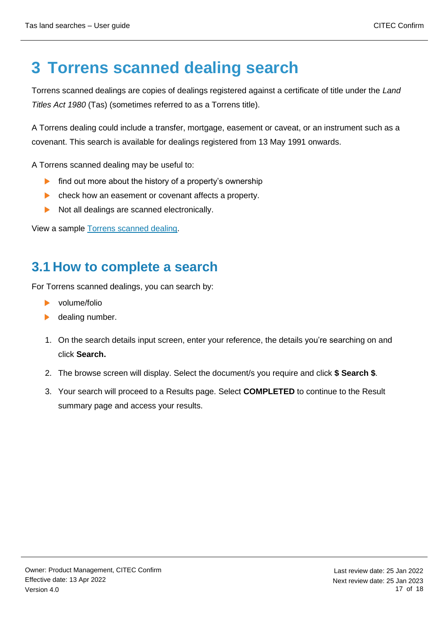# <span id="page-16-0"></span>**3 Torrens scanned dealing search**

Torrens scanned dealings are copies of dealings registered against a certificate of title under the *Land Titles Act 1980* (Tas) (sometimes referred to as a Torrens title).

A Torrens dealing could include a transfer, mortgage, easement or caveat, or an instrument such as a covenant. This search is available for dealings registered from 13 May 1991 onwards.

A Torrens scanned dealing may be useful to:

- $\blacktriangleright$ find out more about the history of a property's ownership
- $\blacktriangleright$ check how an easement or covenant affects a property.
- ь Not all dealings are scanned electronically.

View a sample [Torrens scanned dealing.](https://www.confirm.com.au/wp-content/uploads/tas_land_torrensdealing_sample.pdf)

### <span id="page-16-1"></span>**3.1 How to complete a search**

For Torrens scanned dealings, you can search by:

- volume/folio
- dealing number.
- 1. On the search details input screen, enter your reference, the details you're searching on and click **Search.**
- 2. The browse screen will display. Select the document/s you require and click **\$ Search \$**.
- 3. Your search will proceed to a Results page. Select **COMPLETED** to continue to the Result summary page and access your results.